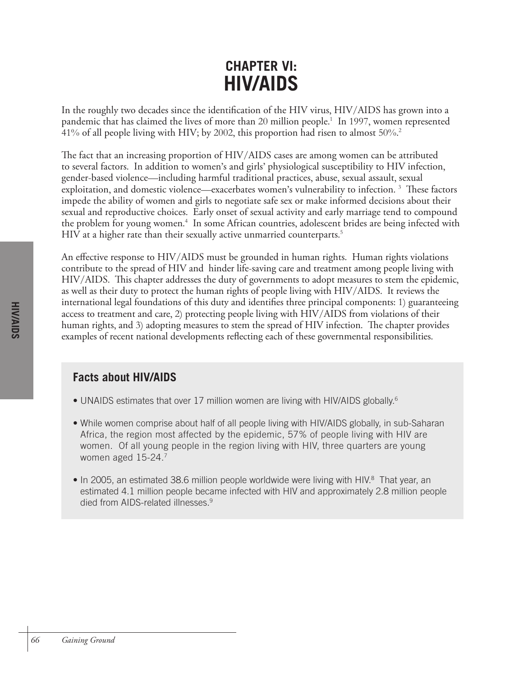# **CHAPTER VI: HIV/AIDS**

In the roughly two decades since the identification of the HIV virus, HIV/AIDS has grown into a pandemic that has claimed the lives of more than 20 million people. 1 In 1997, women represented 41% of all people living with HIV; by 2002, this proportion had risen to almost 50%.2

The fact that an increasing proportion of HIV/AIDS cases are among women can be attributed to several factors. In addition to women's and girls' physiological susceptibility to HIV infection, gender-based violence—including harmful traditional practices, abuse, sexual assault, sexual exploitation, and domestic violence—exacerbates women's vulnerability to infection. 3 These factors impede the ability of women and girls to negotiate safe sex or make informed decisions about their sexual and reproductive choices. Early onset of sexual activity and early marriage tend to compound the problem for young women. 4 In some African countries, adolescent brides are being infected with HIV at a higher rate than their sexually active unmarried counterparts. 5

An effective response to HIV/AIDS must be grounded in human rights. Human rights violations contribute to the spread of HIV and hinder life-saving care and treatment among people living with HIV/AIDS. This chapter addresses the duty of governments to adopt measures to stem the epidemic, as well as their duty to protect the human rights of people living with HIV/AIDS. It reviews the international legal foundations of this duty and identifies three principal components: 1) guaranteeing access to treatment and care, 2) protecting people living with HIV/AIDS from violations of their human rights, and 3) adopting measures to stem the spread of HIV infection. The chapter provides examples of recent national developments reflecting each of these governmental responsibilities.

# **Facts about HIV/AIDS**

- UNAIDS estimates that over 17 million women are living with HIV/AIDS globally.<sup>6</sup>
- While women comprise about half of all people living with HIV/AIDS globally, in sub-Saharan Africa, the region most affected by the epidemic, 57% of people living with HIV are women. Of all young people in the region living with HIV, three quarters are young women aged 15-24.7
- In 2005, an estimated 38.6 million people worldwide were living with HIV.<sup>8</sup> That year, an estimated 4.1 million people became infected with HIV and approximately 2.8 million people died from AIDS-related illnesses.<sup>9</sup>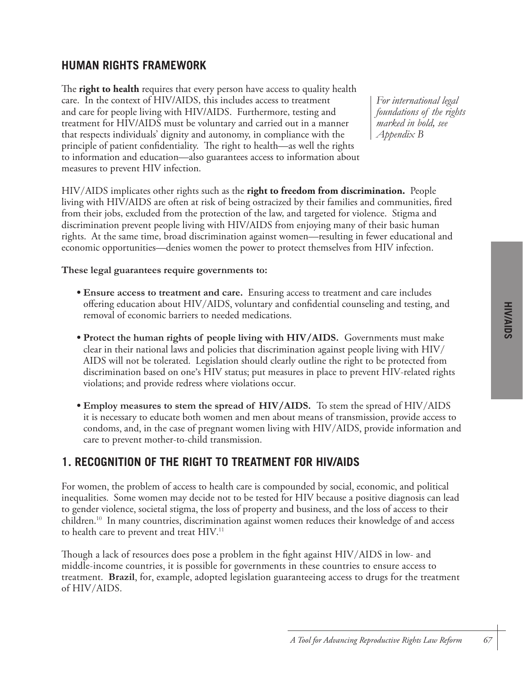# **HUMAN RIGHTS FRAMEWORK**

The **right to health** requires that every person have access to quality health care. In the context of HIV/AIDS, this includes access to treatment and care for people living with HIV/AIDS. Furthermore, testing and treatment for HIV/AIDS must be voluntary and carried out in a manner that respects individuals' dignity and autonomy, in compliance with the principle of patient confidentiality. The right to health—as well the rights to information and education—also guarantees access to information about measures to prevent HIV infection.

*For international legal foundations of the rights marked in bold, see Appendix B*

HIV/AIDS implicates other rights such as the **right to freedom from discrimination.** People living with HIV/AIDS are often at risk of being ostracized by their families and communities, fired from their jobs, excluded from the protection of the law, and targeted for violence. Stigma and discrimination prevent people living with HIV/AIDS from enjoying many of their basic human rights. At the same time, broad discrimination against women—resulting in fewer educational and economic opportunities—denies women the power to protect themselves from HIV infection.

**These legal guarantees require governments to:**

- **Ensure access to treatment and care.** Ensuring access to treatment and care includes offering education about HIV/AIDS, voluntary and confidential counseling and testing, and removal of economic barriers to needed medications.
- **Protect the human rights of people living with HIV/AIDS.** Governments must make clear in their national laws and policies that discrimination against people living with HIV/ AIDS will not be tolerated. Legislation should clearly outline the right to be protected from discrimination based on one's HIV status; put measures in place to prevent HIV-related rights violations; and provide redress where violations occur.
- **Employ measures to stem the spread of HIV/AIDS.** To stem the spread of HIV/AIDS it is necessary to educate both women and men about means of transmission, provide access to condoms, and, in the case of pregnant women living with HIV/AIDS, provide information and care to prevent mother-to-child transmission.

# **1. RECOGNITION OF THE RIGHT TO TREATMENT FOR HIV/AIDS**

For women, the problem of access to health care is compounded by social, economic, and political inequalities. Some women may decide not to be tested for HIV because a positive diagnosis can lead to gender violence, societal stigma, the loss of property and business, and the loss of access to their children. 10 In many countries, discrimination against women reduces their knowledge of and access to health care to prevent and treat HIV.<sup>11</sup>

Though a lack of resources does pose a problem in the fight against HIV/AIDS in low- and middle-income countries, it is possible for governments in these countries to ensure access to treatment. **Brazil**, for, example, adopted legislation guaranteeing access to drugs for the treatment of HIV/AIDS.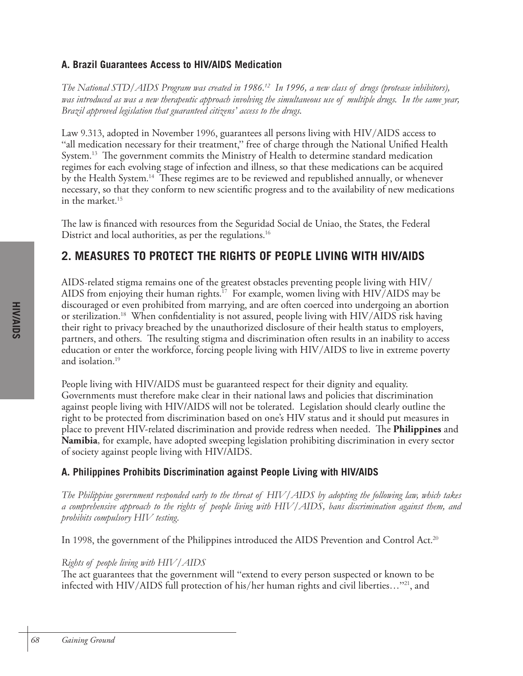# **A. Brazil Guarantees Access to HIV/AIDS Medication**

*The National STD/AIDS Program was created in 1986.12 In 1996, a new class of drugs (protease inhibitors), was introduced as was a new therapeutic approach involving the simultaneous use of multiple drugs. In the same year, Brazil approved legislation that guaranteed citizens' access to the drugs.* 

Law 9.313, adopted in November 1996, guarantees all persons living with HIV/AIDS access to "all medication necessary for their treatment," free of charge through the National Unified Health System. 13 The government commits the Ministry of Health to determine standard medication regimes for each evolving stage of infection and illness, so that these medications can be acquired by the Health System. 14 These regimes are to be reviewed and republished annually, or whenever necessary, so that they conform to new scientific progress and to the availability of new medications in the market. 15

The law is financed with resources from the Seguridad Social de Uniao, the States, the Federal District and local authorities, as per the regulations. 16

# **2. MEASURES TO PROTECT THE RIGHTS OF PEOPLE LIVING WITH HIV/AIDS**

AIDS-related stigma remains one of the greatest obstacles preventing people living with HIV/ AIDS from enjoying their human rights. 17 For example, women living with HIV/AIDS may be discouraged or even prohibited from marrying, and are often coerced into undergoing an abortion or sterilization.<sup>18</sup> When confidentiality is not assured, people living with HIV/AIDS risk having their right to privacy breached by the unauthorized disclosure of their health status to employers, partners, and others. The resulting stigma and discrimination often results in an inability to access education or enter the workforce, forcing people living with HIV/AIDS to live in extreme poverty and isolation. 19

People living with HIV/AIDS must be guaranteed respect for their dignity and equality. Governments must therefore make clear in their national laws and policies that discrimination against people living with HIV/AIDS will not be tolerated. Legislation should clearly outline the right to be protected from discrimination based on one's HIV status and it should put measures in place to prevent HIV-related discrimination and provide redress when needed. The **Philippines** and **Namibia**, for example, have adopted sweeping legislation prohibiting discrimination in every sector of society against people living with HIV/AIDS.

# **A. Philippines Prohibits Discrimination against People Living with HIV/AIDS**

*The Philippine government responded early to the threat of HIV/AIDS by adopting the following law, which takes a comprehensive approach to the rights of people living with HIV/AIDS, bans discrimination against them, and prohibits compulsory HIV testing.*

In 1998, the government of the Philippines introduced the AIDS Prevention and Control Act.<sup>20</sup>

# *Rights of people living with HIV/AIDS*

The act guarantees that the government will "extend to every person suspected or known to be infected with HIV/AIDS full protection of his/her human rights and civil liberties..."<sup>21</sup>, and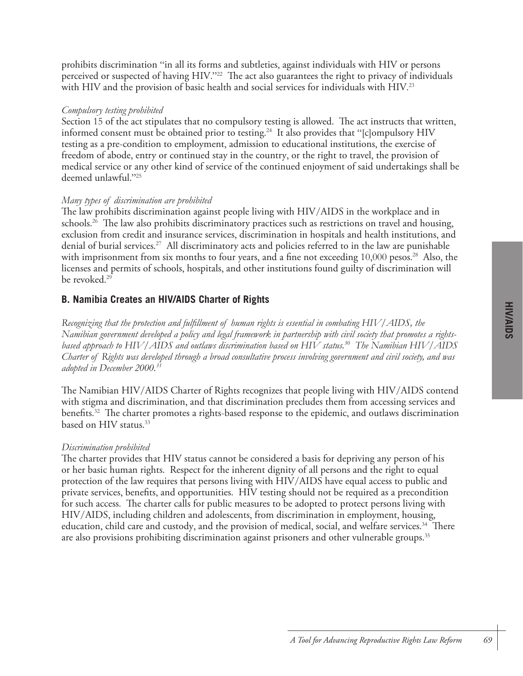prohibits discrimination "in all its forms and subtleties, against individuals with HIV or persons perceived or suspected of having HIV."<sup>22</sup> The act also guarantees the right to privacy of individuals with HIV and the provision of basic health and social services for individuals with HIV.<sup>23</sup>

### *Compulsory testing prohibited*

Section 15 of the act stipulates that no compulsory testing is allowed. The act instructs that written, informed consent must be obtained prior to testing. 24 It also provides that "[c]ompulsory HIV testing as a pre-condition to employment, admission to educational institutions, the exercise of freedom of abode, entry or continued stay in the country, or the right to travel, the provision of medical service or any other kind of service of the continued enjoyment of said undertakings shall be deemed unlawful."<sup>25</sup>

### *Many types of discrimination are prohibited*

The law prohibits discrimination against people living with HIV/AIDS in the workplace and in schools. 26 The law also prohibits discriminatory practices such as restrictions on travel and housing, exclusion from credit and insurance services, discrimination in hospitals and health institutions, and denial of burial services. 27 All discriminatory acts and policies referred to in the law are punishable with imprisonment from six months to four years, and a fine not exceeding 10,000 pesos. 28 Also, the licenses and permits of schools, hospitals, and other institutions found guilty of discrimination will be revoked. 29

### **B. Namibia Creates an HIV/AIDS Charter of Rights**

*Recognizing that the protection and fulfillment of human rights is essential in combating HIV/AIDS, the Namibian government developed a policy and legal framework in partnership with civil society that promotes a rightsbased approach to HIV/AIDS and outlaws discrimination based on HIV status.30 The Namibian HIV/AIDS Charter of Rights was developed through a broad consultative process involving government and civil society, and was adopted in December 2000.31*

The Namibian HIV/AIDS Charter of Rights recognizes that people living with HIV/AIDS contend with stigma and discrimination, and that discrimination precludes them from accessing services and benefits. 32 The charter promotes a rights-based response to the epidemic, and outlaws discrimination based on HIV status. 33

#### *Discrimination prohibited*

The charter provides that HIV status cannot be considered a basis for depriving any person of his or her basic human rights. Respect for the inherent dignity of all persons and the right to equal protection of the law requires that persons living with HIV/AIDS have equal access to public and private services, benefits, and opportunities. HIV testing should not be required as a precondition for such access. The charter calls for public measures to be adopted to protect persons living with HIV/AIDS, including children and adolescents, from discrimination in employment, housing, education, child care and custody, and the provision of medical, social, and welfare services. 34 There are also provisions prohibiting discrimination against prisoners and other vulnerable groups. 35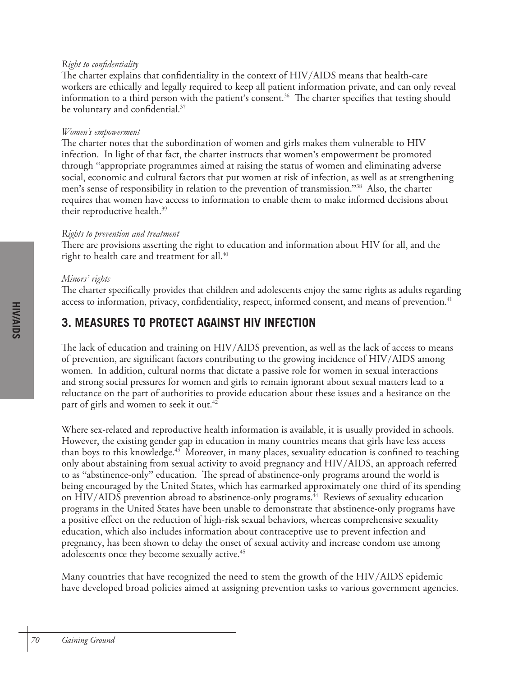### *Right to confidentiality*

The charter explains that confidentiality in the context of HIV/AIDS means that health-care workers are ethically and legally required to keep all patient information private, and can only reveal information to a third person with the patient's consent. 36 The charter specifies that testing should be voluntary and confidential.<sup>37</sup>

### *Women's empowerment*

The charter notes that the subordination of women and girls makes them vulnerable to HIV infection. In light of that fact, the charter instructs that women's empowerment be promoted through "appropriate programmes aimed at raising the status of women and eliminating adverse social, economic and cultural factors that put women at risk of infection, as well as at strengthening men's sense of responsibility in relation to the prevention of transmission."38 Also, the charter requires that women have access to information to enable them to make informed decisions about their reproductive health. 39

### *Rights to prevention and treatment*

There are provisions asserting the right to education and information about HIV for all, and the right to health care and treatment for all. 40

### *Minors' rights*

The charter specifically provides that children and adolescents enjoy the same rights as adults regarding access to information, privacy, confidentiality, respect, informed consent, and means of prevention. 41

# **3. MEASURES TO PROTECT AGAINST HIV INFECTION**

The lack of education and training on HIV/AIDS prevention, as well as the lack of access to means of prevention, are significant factors contributing to the growing incidence of HIV/AIDS among women. In addition, cultural norms that dictate a passive role for women in sexual interactions and strong social pressures for women and girls to remain ignorant about sexual matters lead to a reluctance on the part of authorities to provide education about these issues and a hesitance on the part of girls and women to seek it out. 42

Where sex-related and reproductive health information is available, it is usually provided in schools. However, the existing gender gap in education in many countries means that girls have less access than boys to this knowledge. 43 Moreover, in many places, sexuality education is confined to teaching only about abstaining from sexual activity to avoid pregnancy and HIV/AIDS, an approach referred to as "abstinence-only" education. The spread of abstinence-only programs around the world is being encouraged by the United States, which has earmarked approximately one-third of its spending on HIV/AIDS prevention abroad to abstinence-only programs. 44 Reviews of sexuality education programs in the United States have been unable to demonstrate that abstinence-only programs have a positive effect on the reduction of high-risk sexual behaviors, whereas comprehensive sexuality education, which also includes information about contraceptive use to prevent infection and pregnancy, has been shown to delay the onset of sexual activity and increase condom use among adolescents once they become sexually active. 45

Many countries that have recognized the need to stem the growth of the HIV/AIDS epidemic have developed broad policies aimed at assigning prevention tasks to various government agencies.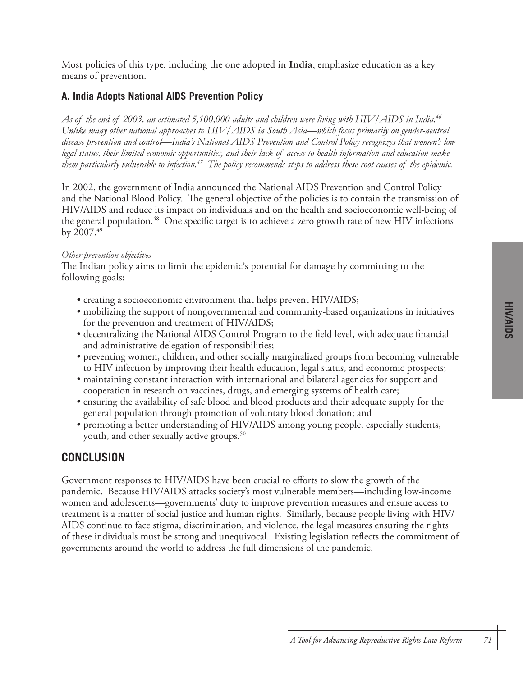Most policies of this type, including the one adopted in **India**, emphasize education as a key means of prevention.

### **A. India Adopts National AIDS Prevention Policy**

*As of the end of 2003, an estimated 5,100,000 adults and children were living with HIV/AIDS in India.46 Unlike many other national approaches to HIV/AIDS in South Asia—which focus primarily on gender-neutral disease prevention and control—India's National AIDS Prevention and Control Policy recognizes that women's low legal status, their limited economic opportunities, and their lack of access to health information and education make them particularly vulnerable to infection.47 The policy recommends steps to address these root causes of the epidemic.*

In 2002, the government of India announced the National AIDS Prevention and Control Policy and the National Blood Policy. The general objective of the policies is to contain the transmission of HIV/AIDS and reduce its impact on individuals and on the health and socioeconomic well-being of the general population. 48 One specific target is to achieve a zero growth rate of new HIV infections by  $2007.^{49}$ 

#### *Other prevention objectives*

The Indian policy aims to limit the epidemic's potential for damage by committing to the following goals:

- creating a socioeconomic environment that helps prevent HIV/AIDS;
- mobilizing the support of nongovernmental and community-based organizations in initiatives for the prevention and treatment of HIV/AIDS;
- decentralizing the National AIDS Control Program to the field level, with adequate financial and administrative delegation of responsibilities;
- preventing women, children, and other socially marginalized groups from becoming vulnerable to HIV infection by improving their health education, legal status, and economic prospects;
- maintaining constant interaction with international and bilateral agencies for support and cooperation in research on vaccines, drugs, and emerging systems of health care;
- ensuring the availability of safe blood and blood products and their adequate supply for the general population through promotion of voluntary blood donation; and
- promoting a better understanding of HIV/AIDS among young people, especially students, youth, and other sexually active groups. 50

### **CONCLUSION**

Government responses to HIV/AIDS have been crucial to efforts to slow the growth of the pandemic. Because HIV/AIDS attacks society's most vulnerable members—including low-income women and adolescents—governments' duty to improve prevention measures and ensure access to treatment is a matter of social justice and human rights. Similarly, because people living with HIV/ AIDS continue to face stigma, discrimination, and violence, the legal measures ensuring the rights of these individuals must be strong and unequivocal. Existing legislation reflects the commitment of governments around the world to address the full dimensions of the pandemic.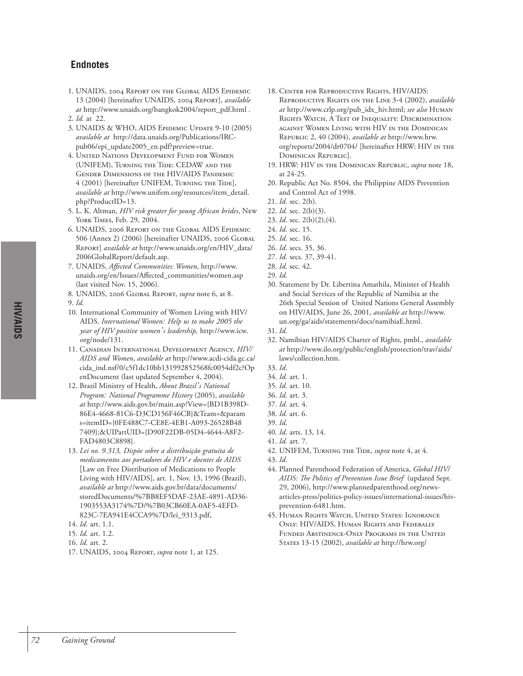## **Endnotes**

- 1. UNAIDS, 2004 REPORT ON THE GLOBAL AIDS EPIDEMIC 13 (2004) [hereinafter UNAIDS, 2004 REPORT], *available at* http://www.unaids.org/bangkok2004/report\_pdf.html .
- 2. *Id.* at 22.
- 3. UNAIDS & WHO, AIDS EPIDEMIC UPDATE 9-10 (2005) *available at* http://data.unaids.org/Publications/IRCpub06/epi\_update2005\_en.pdf?preview=true.
- 4. UNITED NATIONS DEVELOPMENT FUND FOR WOMEN (UNIFEM), TURNING THE TIDE: CEDAW AND THE GENDER DIMENSIONS OF THE HIV/AIDS PANDEMIC 4 (2001) [hereinafter UNIFEM, TURNING THE TIDE], *available at* http://www.unifem.org/resources/item\_detail. php?ProductID=13.
- 5. L. K. Altman, *HIV risk greater for young African brides*, NEW YORK TIMES, Feb. 29, 2004.
- 6. UNAIDS, 2006 REPORT ON THE GLOBAL AIDS EPIDEMIC 506 (Annex 2) (2006) [hereinafter UNAIDS, 2006 GLOBAL REPORT] *available at* http://www.unaids.org/en/HIV\_data/ 2006GlobalReport/default.asp.
- 7. UNAIDS, *Affected Communities: Women*, http://www. unaids.org/en/Issues/Affected\_communities/women.asp (last visited Nov. 15, 2006).
- 8. UNAIDS, 2006 GLOBAL REPORT, *supra* note 6, at 8.
- 9. *Id.*
- 10*.* International Community of Women Living with HIV/ AIDS*, International Women: Help us to make 2005 the year of HIV positive women's leadership,* http://www.icw. org/node/131.
- 11. CANADIAN INTERNATIONAL DEVELOPMENT AGENCY, *HIV/ AIDS and Women*, *available at* http://www.acdi-cida.gc.ca/ cida\_ind.nsf/0/c5f1dc10bb131992852568fc0054df2c?Op enDocument (last updated September 4, 2004).
- 12. Brazil Ministry of Health, *About Brazil's National Program: National Programme History* (2005), *available at* http://www.aids.gov.br/main.asp?View={BD1B398D-86E4-4668-81C6-D3CD156F46CB}&Team=&param s=itemID={0FE488C7-CE8E-4EB1-A093-26528B48 7409};&UIPartUID={D90F22DB-05D4-4644-A8F2- FAD4803C8898}.
- 13. *Lei no. 9.313, Dispõe sobre a distribuição gratuita de medicamentos aos portadores do HIV e doentes de AIDS* [Law on Free Distribution of Medications to People Living with HIV/AIDS], art. 1, Nov. 13, 1996 (Brazil), *available at* http://www.aids.gov.br/data/documents/ storedDocuments/%7BB8EF5DAF-23AE-4891-AD36- 1903553A3174%7D/%7B03CB60EA-0AF5-4EFD-823C-7EA941E4CCA9%7D/lei\_9313.pdf.
- 14. *Id.* art. 1.1.
- 15. *Id.* art. 1.2.
- 16. *Id.* art. 2.
- 17. UNAIDS, 2004 REPORT, *supra* note 1, at 125.
- 18. CENTER FOR REPRODUCTIVE RIGHTS, HIV/AIDS: REPRODUCTIVE RIGHTS ON THE LINE 3-4 (2002), *available at* http://www.crlp.org/pub\_idx\_hiv.html; *see also* HUMAN RIGHTS WATCH, A TEST OF INEQUALITY: DISCRIMINATION AGAINST WOMEN LIVING WITH HIV IN THE DOMINICAN REPUBLIC 2, 40 (2004), *available at* http://www.hrw. org/reports/2004/dr0704/ [hereinafter HRW: HIV IN THE DOMINICAN REPUBLIC].
- 19. HRW: HIV IN THE DOMINICAN REPUBLIC, *supra* note 18, at 24-25.
- 20. Republic Act No. 8504, the Philippine AIDS Prevention and Control Act of 1998.
- 21. *Id.* sec. 2(b).
- 22. *Id.* sec. 2(b)(3).
- 23. *Id.* sec. 2(b)(2),(4).
- 24. *Id.* sec. 15.
- 25. *Id.* sec. 16.
- 26. *Id.* secs. 35, 36.
- 27. *Id.* secs. 37, 39-41.
- 28. *Id.* sec. 42.
- 29. *Id.*
- 30. Statement by Dr. Libertina Amathila, Minister of Health and Social Services of the Republic of Namibia at the 26th Special Session of United Nations General Assembly on HIV/AIDS, June 26, 2001, *available at* http://www. un.org/ga/aids/statements/docs/namibiaE.html.
- 31. *Id.*
- 32. Namibian HIV/AIDS Charter of Rights, pmbl., *available at* http://www.ilo.org/public/english/protection/trav/aids/ laws/collection.htm.
- 33. *Id.*
- 34. *Id.* art. 1. 35. *Id.* art. 10.
- 
- 36. *Id.* art. 3.
- 37. *Id.* art. 4.
- 38. *Id.* art. 6. 39. *Id.*
- 40. *Id.* arts. 13, 14.
- 41. *Id.* art. 7.
- 42. UNIFEM, TURNING THE TIDE, *supra* note 4, at 4.
- 43. *Id.*
- 44. Planned Parenthood Federation of America, *Global HIV/ AIDS: The Politics of Prevention Issue Brief* (updated Sept. 29, 2006), http://www.plannedparenthood.org/newsarticles-press/politics-policy-issues/international-issues/hivprevention-6481.htm.
- 45. HUMAN RIGHTS WATCH, UNITED STATES: IGNORANCE ONLY: HIV/AIDS, HUMAN RIGHTS AND FEDERALLY FUNDED ABSTINENCE-ONLY PROGRAMS IN THE UNITED STATES 13-15 (2002), *available at* http://hrw.org/